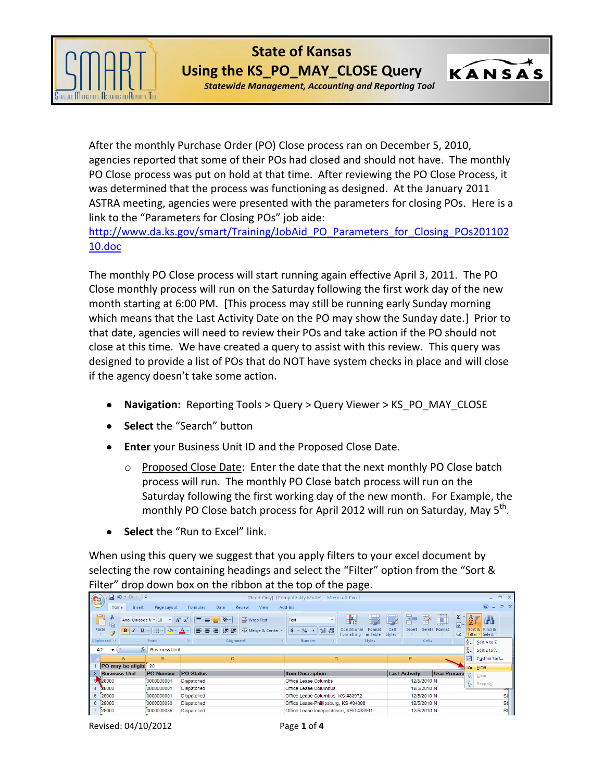

**State of Kansas Using the KS\_PO\_MAY\_CLOSE Query**

*Statewide Management, Accounting and Reporting Tool*

KANSAS

After the monthly Purchase Order (PO) Close process ran on December 5, 2010, agencies reported that some of their POs had closed and should not have. The monthly PO Close process was put on hold at that time. After reviewing the PO Close Process, it was determined that the process was functioning as designed. At the January 2011 ASTRA meeting, agencies were presented with the parameters for closing POs. Here is a link to the "Parameters for Closing POs" job aide:

[http://www.da.ks.gov/smart/Training/JobAid\\_PO\\_Parameters\\_for\\_Closing\\_POs201102](http://www.da.ks.gov/smart/Training/JobAid_PO_Parameters_for_Closing_POs20110210.doc) [10.doc](http://www.da.ks.gov/smart/Training/JobAid_PO_Parameters_for_Closing_POs20110210.doc)

The monthly PO Close process will start running again effective April 3, 2011. The PO Close monthly process will run on the Saturday following the first work day of the new month starting at 6:00 PM. [This process may still be running early Sunday morning which means that the Last Activity Date on the PO may show the Sunday date.] Prior to that date, agencies will need to review their POs and take action if the PO should not close at this time. We have created a query to assist with this review. This query was designed to provide a list of POs that do NOT have system checks in place and will close if the agency doesn't take some action.

- **Navigation:** Reporting Tools > Query > Query Viewer > KS\_PO\_MAY\_CLOSE
- **Select** the "Search" button
- **Enter** your Business Unit ID and the Proposed Close Date.
	- $\circ$  Proposed Close Date: Enter the date that the next monthly PO Close batch process will run. The monthly PO Close batch process will run on the Saturday following the first working day of the new month. For Example, the monthly PO Close batch process for April 2012 will run on Saturday, May 5<sup>th</sup>.
- **Select** the "Run to Excel" link.

When using this query we suggest that you apply filters to your excel document by selecting the row containing headings and select the "Filter" option from the "Sort & Filter" drop down box on the ribbon at the top of the page.

|    | $- 9 - 19$<br>÷<br>$\Box$<br>[Read-Only] [Compatibility Mode] - Microsoft Excel<br><b>G</b><br>- |                                                 |                                                                             |                                                                     |                             |                                                           |                                                                                |                          |                                      |                     |                                         |              |
|----|--------------------------------------------------------------------------------------------------|-------------------------------------------------|-----------------------------------------------------------------------------|---------------------------------------------------------------------|-----------------------------|-----------------------------------------------------------|--------------------------------------------------------------------------------|--------------------------|--------------------------------------|---------------------|-----------------------------------------|--------------|
|    | Home                                                                                             | Insert                                          | Page Layout                                                                 | Formulas<br>Data                                                    | <b>View</b><br>Review       | Add-Ins                                                   |                                                                                |                          |                                      |                     | 0                                       | $\Box$       |
|    | $\alpha$<br>品<br>בי<br><b>La</b><br>Paste                                                        | Arial Unicode N × 10<br>$B$ $I$<br>$\mathbf{u}$ | $\mathbf{A} \mathbf{A}$<br>$\mathbb{E} \cdot \mathbb{R} \cdot \mathbf{A}$ - | $\equiv$<br>$\frac{1}{2}$<br>$\equiv$<br>$=$<br> 年年 <br>E<br>巨<br>青 | Wrap Text<br>Merge & Center | Text<br>$*_{00}^{0}$ .00<br>$\frac{9}{6}$<br>$\mathbf{v}$ | $\mathbb{R}$<br>鷝<br>Conditional<br>Format<br>Formatting * as Table * Styles * | F<br>計<br>Cell<br>Insert | Ţì<br>Σ<br>同一<br>Delete Format<br>Q× | A                   | Ĥ<br>Sort & Find &<br>Filter v Select v |              |
|    | Clipboard <sup>5</sup>                                                                           |                                                 | Font                                                                        | <b>B</b><br>Alignment                                               | Б.                          | Number<br><b>B</b>                                        | <b>Styles</b>                                                                  | Cells:                   |                                      | 21                  | Sort A to Z                             |              |
| A2 |                                                                                                  | $f_x$                                           | <b>Business Unit</b>                                                        |                                                                     |                             |                                                           |                                                                                |                          |                                      | $\frac{z}{\Lambda}$ | Sort Z to A                             |              |
|    | $\mathsf{A}$                                                                                     |                                                 | B                                                                           | C.                                                                  |                             | D                                                         |                                                                                | E                        |                                      | 开                   | Custom Sort                             |              |
|    | PO may be eligibl                                                                                |                                                 | 20                                                                          |                                                                     |                             |                                                           |                                                                                |                          |                                      |                     | <b>Eilter</b>                           |              |
|    | <b>Business Unit</b>                                                                             |                                                 | <b>PO Number</b>                                                            | PO Status                                                           |                             | <b>Item Description</b>                                   |                                                                                | <b>Last Activity</b>     | Use Procure                          |                     | $C$ lear                                |              |
|    | 3 28000                                                                                          |                                                 | 0000000001                                                                  | <b>Dispatched</b>                                                   |                             | Office Lease Columbs                                      |                                                                                | 12/5/2010 N              |                                      | $\mathbb{Z}$        | Reapply                                 |              |
|    | 28000                                                                                            |                                                 | 0000000001                                                                  | <b>Dispatched</b>                                                   |                             | Office Lease Columbus                                     |                                                                                | 12/5/2010 N              |                                      |                     |                                         | $\sim$ 0 $-$ |
|    | 5 28000                                                                                          |                                                 | 0000000001                                                                  | Dispatched                                                          |                             | Office Lease Columbus, KS-#33972                          |                                                                                | 12/5/2010 N              |                                      |                     |                                         | St           |
|    | 6 28000                                                                                          |                                                 | 0000000033                                                                  | Dispatched                                                          |                             | Office Lease-Phillipsburg, KS-#34008                      |                                                                                | 12/5/2010 N              |                                      |                     |                                         | Stl          |
|    | 7 28000                                                                                          |                                                 | 0000000035                                                                  | <b>Dispatched</b>                                                   |                             | Office Lease Independence, KS0-#33991                     |                                                                                | 12/5/2010 N              |                                      |                     |                                         | <b>St</b>    |

Revised: 04/10/2012 Page **1** of **4**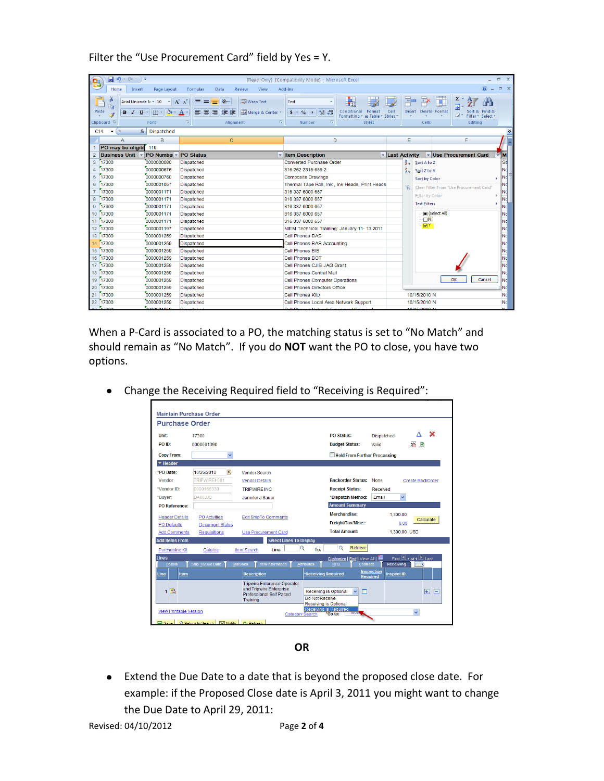## Filter the "Use Procurement Card" field by Yes = Y.

|                | 目の・(=・)=<br>$\mathbf{x}$<br>同<br>[Read-Only] [Compatibility Mode] - Microsoft Excel<br>'Ca |                                                                                |                                                                 |                                                                                                                                                                                                                                                                                                                                                                                               |                 |                              |                                                                       |                 |
|----------------|--------------------------------------------------------------------------------------------|--------------------------------------------------------------------------------|-----------------------------------------------------------------|-----------------------------------------------------------------------------------------------------------------------------------------------------------------------------------------------------------------------------------------------------------------------------------------------------------------------------------------------------------------------------------------------|-----------------|------------------------------|-----------------------------------------------------------------------|-----------------|
|                | Home<br>Insert                                                                             | Page Layout                                                                    | View<br>Formulas<br>Data<br><b>Review</b>                       | Add-Ins                                                                                                                                                                                                                                                                                                                                                                                       |                 |                              |                                                                       | $\Box$ $X$      |
| Paste          | க்<br>Arial Unicode N * 10<br>n.                                                           | $\mathbf{A} \mathbf{A}$<br>$B$ $I$ $U$ $\cdot$ $\rightarrow$ $\rightarrow$ $A$ | 导 Wrap Text<br>$\mathcal{P}$<br>$\equiv$<br>Merge & Center<br>锥 | 最<br>Text<br>Conditional<br>$\frac{1}{2}$ $\frac{1}{2}$ $\frac{1}{2}$ $\frac{1}{2}$ $\frac{1}{2}$ $\frac{1}{2}$ $\frac{1}{2}$ $\frac{1}{2}$ $\frac{1}{2}$ $\frac{1}{2}$ $\frac{1}{2}$ $\frac{1}{2}$ $\frac{1}{2}$ $\frac{1}{2}$ $\frac{1}{2}$ $\frac{1}{2}$ $\frac{1}{2}$ $\frac{1}{2}$ $\frac{1}{2}$ $\frac{1}{2}$ $\frac{1}{2}$ $\frac{1}{2}$<br>Format<br>Formatting * as Table * Styles * | Cell            | $\oplus$<br>F<br>Insert      | Σ<br>Œ<br>ä<br>Delete Format<br>Sort & Find &<br>Filter *<br>Select y |                 |
|                | Clipboard <sup>5</sup>                                                                     | Font                                                                           | $\overline{12}$<br>$\sqrt{2}$<br>Alignment                      | <b>Styles</b><br>Number<br><b>B</b>                                                                                                                                                                                                                                                                                                                                                           |                 | Cells                        | Editing                                                               |                 |
| C14            | $\sim$<br>$f_x$<br>$\blacktriangledown$                                                    | <b>Dispatched</b>                                                              |                                                                 |                                                                                                                                                                                                                                                                                                                                                                                               |                 |                              |                                                                       | ¥               |
|                | A                                                                                          | B                                                                              | $\mathbf{C}$                                                    | D                                                                                                                                                                                                                                                                                                                                                                                             |                 | E                            | F                                                                     |                 |
|                | PO may be eligibl                                                                          | 119                                                                            |                                                                 |                                                                                                                                                                                                                                                                                                                                                                                               |                 |                              |                                                                       |                 |
| $\overline{2}$ | Business Unit • PO Number • PO Status                                                      |                                                                                |                                                                 | <b>Item Description</b>                                                                                                                                                                                                                                                                                                                                                                       | v Last Activity |                              | VIUse Procurement Card                                                | ÷ IM            |
| 3              | 17300                                                                                      | 0000000080                                                                     | Dispatched                                                      | Converted Purchase Order                                                                                                                                                                                                                                                                                                                                                                      |                 | $rac{A}{Z}$<br>Sort A to Z   |                                                                       | <b>St</b>       |
|                | 17300                                                                                      | 0000000676                                                                     | Dispatched                                                      | 316-262-2315-659-2                                                                                                                                                                                                                                                                                                                                                                            |                 | $\frac{Z}{A}$<br>Sort Z to A |                                                                       | Nd              |
| 5              | 17300                                                                                      | 0000000760                                                                     | Dispatched                                                      | <b>Composite Drawings</b>                                                                                                                                                                                                                                                                                                                                                                     |                 | Sort by Color                |                                                                       | INd             |
| 6              | 17300                                                                                      | 0000001057                                                                     | <b>Dispatched</b>                                               | Thermal Tape Roll, Ink, Ink Heads, Print Heads                                                                                                                                                                                                                                                                                                                                                |                 | $\mathbb{K}$                 | Clear Filter From "Use Procurement Card"                              | <b>N</b> d      |
| $\overline{7}$ | 17300                                                                                      | 0000001171                                                                     | <b>Dispatched</b>                                               | 316 337 6000 657                                                                                                                                                                                                                                                                                                                                                                              |                 | <b>Filter by Color</b>       |                                                                       | Nd              |
| 8              | 17300                                                                                      | 0000001171                                                                     | <b>Dispatched</b>                                               | 316 337 6000 657                                                                                                                                                                                                                                                                                                                                                                              |                 | <b>Text Filters</b>          |                                                                       | Nd              |
| 9              | 17300                                                                                      | 0000001171                                                                     | Dispatched                                                      | 316 337 6000 657                                                                                                                                                                                                                                                                                                                                                                              |                 |                              |                                                                       | No              |
| 10             | 17300                                                                                      | 0000001171                                                                     | <b>Dispatched</b>                                               | 316 337 6000 657                                                                                                                                                                                                                                                                                                                                                                              |                 | $\Box$ N                     | Gelect All)                                                           | <b>Nc</b>       |
|                | 11 17300                                                                                   | 0000001171                                                                     | Dispatched                                                      | 316 337 6000 657                                                                                                                                                                                                                                                                                                                                                                              |                 | ∙⊡ Y                         |                                                                       | No              |
|                | 12 17300                                                                                   | 0000001197                                                                     | Dispatched                                                      | NIEM Technical Training: January 11- 13 2011                                                                                                                                                                                                                                                                                                                                                  |                 |                              |                                                                       | N <sub>c</sub>  |
| 13             | 17300                                                                                      | 0000001259                                                                     | Dispatched                                                      | Cell Phones BAS                                                                                                                                                                                                                                                                                                                                                                               |                 |                              |                                                                       | N <sub>c</sub>  |
| 14             | 17300                                                                                      | 0000001259                                                                     | Dispatched                                                      | Cell Phones BAS Accounting                                                                                                                                                                                                                                                                                                                                                                    |                 |                              |                                                                       | <b>N</b>        |
| 15             | 17300                                                                                      | 0000001259                                                                     | Dispatched                                                      | Cell Phones BIS                                                                                                                                                                                                                                                                                                                                                                               |                 |                              |                                                                       | N <sub>c</sub>  |
| 16             | 17300                                                                                      | 0000001259                                                                     | Dispatched                                                      | Cell Phones BOT                                                                                                                                                                                                                                                                                                                                                                               |                 |                              |                                                                       | <b>Nc</b>       |
| 17             | 17300                                                                                      | 0000001259                                                                     | <b>Dispatched</b>                                               | Cell Phones CJIS JAG Grant                                                                                                                                                                                                                                                                                                                                                                    |                 |                              |                                                                       | N <sub>c</sub>  |
| 18             | 17300                                                                                      | 0000001259                                                                     | <b>Dispatched</b>                                               | Cell Phones Central Mail                                                                                                                                                                                                                                                                                                                                                                      |                 |                              |                                                                       | Nd              |
| 19             | 17300                                                                                      | 0000001259                                                                     | <b>Dispatched</b>                                               | Cell Phones Computer Operations                                                                                                                                                                                                                                                                                                                                                               |                 |                              | OK<br>Cancel                                                          | N <sub>c</sub>  |
| 20             | 17300                                                                                      | 0000001259                                                                     | <b>Dispatched</b>                                               | Cell Phones Directors Office                                                                                                                                                                                                                                                                                                                                                                  |                 |                              |                                                                       | $\therefore$ Nd |
| 21             | 17300                                                                                      | 0000001259                                                                     | Dispatched                                                      | Cell Phones Kito                                                                                                                                                                                                                                                                                                                                                                              |                 | 10/15/2010 N                 |                                                                       | Nd              |
| 22             | 17300                                                                                      | 0000001259                                                                     | Dispatched                                                      | Cell Phones Local Area Network Support                                                                                                                                                                                                                                                                                                                                                        |                 | 10/15/2010 N                 |                                                                       | N <sub>c</sub>  |
| 0 <sup>o</sup> | <b>STOOD</b>                                                                               | COOCOOSSED                                                                     | <b>Dispotatord</b>                                              | Coll Dhongo Moturate Equipment/Terminal                                                                                                                                                                                                                                                                                                                                                       |                 | <b>10/15/0010 N</b>          |                                                                       |                 |

When a P-Card is associated to a PO, the matching status is set to "No Match" and should remain as "No Match". If you do **NOT** want the PO to close, you have two options.

Change the Receiving Required field to "Receiving is Required":  $\bullet$ 



**OR**

 $\bullet$ Extend the Due Date to a date that is beyond the proposed close date. For example: if the Proposed Close date is April 3, 2011 you might want to change the Due Date to April 29, 2011: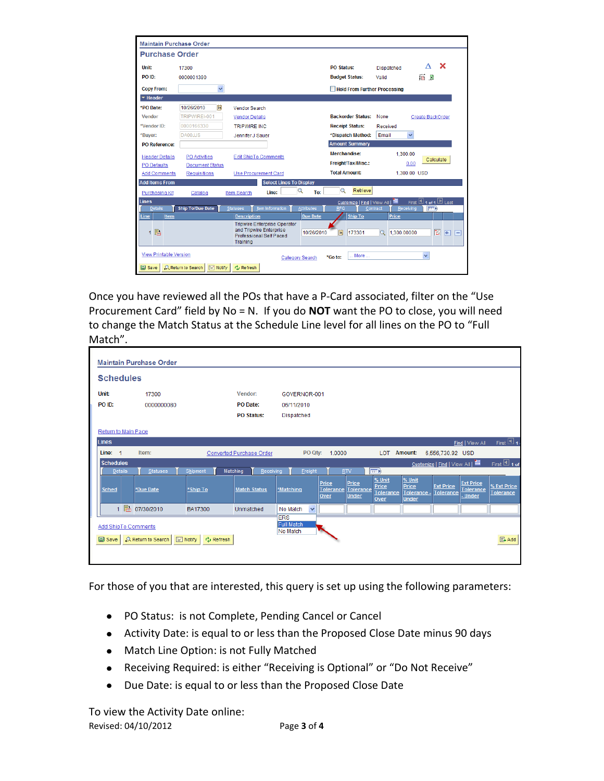| <b>Maintain Purchase Order</b> |                                                                                             |                                                                |                   |                                     |                       |                                         |  |  |
|--------------------------------|---------------------------------------------------------------------------------------------|----------------------------------------------------------------|-------------------|-------------------------------------|-----------------------|-----------------------------------------|--|--|
| <b>Purchase Order</b>          |                                                                                             |                                                                |                   |                                     |                       |                                         |  |  |
| Unit:                          | 17300                                                                                       |                                                                |                   | <b>PO Status:</b>                   | <b>Dispatched</b>     | $\mathbf x$<br>л                        |  |  |
| PO ID:                         | 0000001390                                                                                  |                                                                |                   | <b>Budget Status:</b>               | Valid                 | 痛同                                      |  |  |
| <b>Copy From:</b>              | $\overline{\mathbf{v}}$                                                                     |                                                                |                   | <b>Hold From Further Processing</b> |                       |                                         |  |  |
| $\blacktriangleright$ Header   |                                                                                             |                                                                |                   |                                     |                       |                                         |  |  |
| *PO Date:                      | 10/26/2010<br>31                                                                            | Vendor Search                                                  |                   |                                     |                       |                                         |  |  |
| Vendor                         | TRIPWIRFI-001                                                                               | <b>Vendor Details</b>                                          |                   | <b>Backorder Status:</b>            | None                  | Create BackOrder                        |  |  |
| *Vendor ID:                    | 0000166330                                                                                  | <b>TRIPWIRE INC.</b>                                           |                   | <b>Receipt Status:</b>              | Received              |                                         |  |  |
| *Buyer:                        | DA00JJS                                                                                     | Jennifer J Sauer                                               |                   | *Dispatch Method:                   | $\checkmark$<br>Email |                                         |  |  |
| <b>PO</b> Reference:           |                                                                                             |                                                                |                   | <b>Amount Summary</b>               |                       |                                         |  |  |
| <b>Header Details</b>          | <b>PO</b> Activities                                                                        | <b>Edit ShipTo Comments</b>                                    |                   | Merchandise:                        | 1.300.00              |                                         |  |  |
| <b>PO</b> Defaults             | <b>Document Status</b>                                                                      |                                                                |                   | Freight/Tax/Misc.:                  | 0.00                  | Calculate                               |  |  |
| <b>Add Comments</b>            | <b>Requisitions</b>                                                                         | <b>Use Procurement Card</b>                                    |                   | <b>Total Amount:</b>                |                       | 1,300.00 USD                            |  |  |
| <b>Add Items From</b>          |                                                                                             | <b>Select Lines To Display</b>                                 |                   |                                     |                       |                                         |  |  |
| <b>Purchasing Kit</b>          | Catalog                                                                                     | Line:<br><b>Item Search</b>                                    | Q<br>To:          | $\mathbf Q$<br>Retrieve             |                       |                                         |  |  |
| Lines                          |                                                                                             |                                                                |                   | Customize   Find   View All         | 畫                     | First $\boxplus$ 1 of 1 $\boxplus$ Last |  |  |
| <b>Details</b>                 | <b>Ship To/Due Date</b>                                                                     | Item Information<br><b>Statuses</b>                            | <b>Attributes</b> | <b>RFQ</b>                          | Contract<br>Receiving | <b>READ</b>                             |  |  |
| Item<br>Line                   |                                                                                             | <b>Description</b><br><b>Tripwire Enterprise Operator</b>      | <b>Due Date</b>   | <b>Ship To</b>                      | Price                 |                                         |  |  |
| B.<br>1                        |                                                                                             | and Tripwire Enterprise<br>Professional Self Paced<br>Training | 10/26/2010        | Ħ<br>173301                         | 1.300.00000<br>Q      | 図<br>$\mathbb{H}$<br>E                  |  |  |
|                                | <b>View Printable Version</b><br>$\ddot{\phantom{0}}$<br>More<br>*Go fo:<br>Category Search |                                                                |                   |                                     |                       |                                         |  |  |
| <b>国</b> Save                  | <b>Fig. Notify</b><br><b>Q. Return to Search</b>                                            | <b>Cu</b> Refresh                                              |                   |                                     |                       |                                         |  |  |

Once you have reviewed all the POs that have a P-Card associated, filter on the "Use Procurement Card" field by No = N. If you do **NOT** want the PO to close, you will need to change the Match Status at the Schedule Line level for all lines on the PO to "Full Match".

|              | <b>Maintain Purchase Order</b>         |                           |                               |                          |                          |                    |                    |                          |                      |                                  |                                      |                   |
|--------------|----------------------------------------|---------------------------|-------------------------------|--------------------------|--------------------------|--------------------|--------------------|--------------------------|----------------------|----------------------------------|--------------------------------------|-------------------|
|              | <b>Schedules</b>                       |                           |                               |                          |                          |                    |                    |                          |                      |                                  |                                      |                   |
| Unit:        | Vendor:<br>17300                       |                           |                               |                          | GOVERNOR-001             |                    |                    |                          |                      |                                  |                                      |                   |
|              | PO ID:                                 | 0000000080                |                               | PO Date:                 | 06/11/2010               |                    |                    |                          |                      |                                  |                                      |                   |
|              |                                        |                           |                               | <b>PO Status:</b>        | <b>Dispatched</b>        |                    |                    |                          |                      |                                  |                                      |                   |
|              | Return to Main Page                    |                           |                               |                          |                          |                    |                    |                          |                      |                                  |                                      |                   |
| <b>Lines</b> |                                        |                           |                               |                          |                          |                    |                    |                          |                      |                                  | Find   View All                      | First $\Box$ 1.   |
|              | Line:<br>1                             | Item:                     |                               | Converted Purchase Order |                          | PO Qty: 1.0000     |                    | LOT.                     | <b>Amount:</b>       | 6.556.730.92 USD                 |                                      |                   |
|              | <b>Schedules</b>                       |                           |                               |                          |                          |                    |                    |                          |                      | Customize   Find   View All   11 |                                      | First $\Box$ 1 of |
|              | <b>Details</b>                         | <b>Statuses</b>           | Shipment                      | Matching<br>Receiving    | Ereight                  |                    | <b>RTV</b>         | 雨                        |                      |                                  |                                      |                   |
|              | <b>Sched</b>                           | *Due Date                 | *Ship To                      | <b>Match Status</b>      | *Matching                | Price<br>Tolerance | Price<br>Tolerance | % Unit<br>Price          | % Unit<br>Price      | <b>Ext Price</b>                 | <b>Ext Price</b><br><b>Tolerance</b> | % Ext Price       |
|              |                                        |                           |                               |                          |                          | Over               | <b>Under</b>       | <b>Tolerance</b><br>Over | Tolerance -<br>Under | <b>Tolerance</b>                 | - Under                              | Tolerance         |
|              |                                        | 1 图 07/30/2010            | BA17300                       | Unmatched                | $\checkmark$<br>No Match |                    |                    |                          |                      |                                  |                                      |                   |
|              | <b>ERS</b><br><b>Full Match</b>        |                           |                               |                          |                          |                    |                    |                          |                      |                                  |                                      |                   |
|              | <b>Add ShipTo Comments</b><br>No Match |                           |                               |                          |                          |                    |                    |                          |                      |                                  |                                      |                   |
|              | $\Box$ Save                            | <b>Q</b> Return to Search | $\boxed{=}$ Notify<br>Refresh |                          |                          |                    |                    |                          |                      |                                  |                                      | 图 Add             |
|              |                                        |                           |                               |                          |                          |                    |                    |                          |                      |                                  |                                      |                   |
|              |                                        |                           |                               |                          |                          |                    |                    |                          |                      |                                  |                                      |                   |

For those of you that are interested, this query is set up using the following parameters:

- PO Status: is not Complete, Pending Cancel or Cancel
- Activity Date: is equal to or less than the Proposed Close Date minus 90 days
- Match Line Option: is not Fully Matched
- Receiving Required: is either "Receiving is Optional" or "Do Not Receive"
- Due Date: is equal to or less than the Proposed Close Date

Revised: 04/10/2012 Page **3** of **4** To view the Activity Date online: